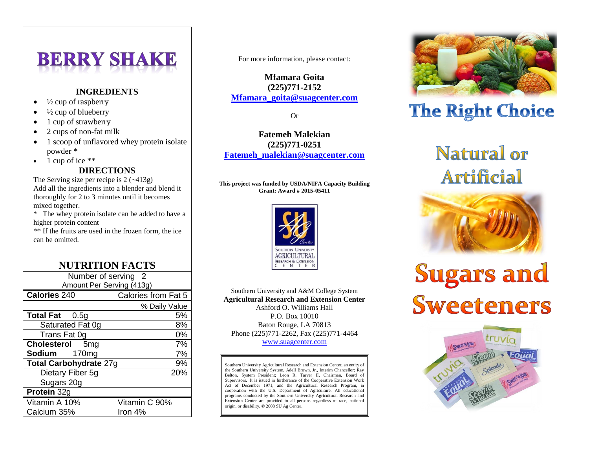# **BERRY SHAKE**

### **INGREDIENTS**

- $\bullet$   $\frac{1}{2}$  cup of raspberry
- ½ cup of blueberry
- 1 cup of strawberry
- 2 cups of non-fat milk
- 1 scoop of unflavored whey protein isolate powder \*
- $\bullet$  1 cup of ice \*\*

### **DIRECTIONS**

The Serving size per recipe is  $2 (-413g)$ Add all the ingredients into a blender and blend it thoroughly for 2 to 3 minutes until it becomes mixed together.

\* The whey protein isolate can be added to have a higher protein content

\*\* If the fruits are used in the frozen form, the ice can be omitted.

## **NUTRITION FACTS**

| Number of serving<br>2<br>Amount Per Serving (413g) |               |
|-----------------------------------------------------|---------------|
| Calories from Fat 5<br><b>Calories 240</b>          |               |
|                                                     |               |
|                                                     | % Daily Value |
| <b>Total Fat</b> 0.5g                               | 5%            |
| Saturated Fat 0g                                    | 8%            |
| Trans Fat 0g                                        | 0%            |
| <b>Cholesterol</b><br>5 <sub>mg</sub>               | 7%            |
| Sodium<br>170 <sub>mg</sub>                         | 7%            |
| Total Carbohydrate 27g                              | 9%            |
| Dietary Fiber 5g                                    | 20%           |
| Sugars 20g                                          |               |
| Protein 32g                                         |               |
| Vitamin A 10%                                       | Vitamin C 90% |
| Calcium 35%                                         | Iron 4%       |

For more information, please contact:

**Mfamara Goita (225)771-2152 [Mfamara\\_goita@suagcenter.com](mailto:Mfamara_goita@suagcenter.com)**

Or

**Fatemeh Malekian (225)771-0251 [Fatemeh\\_malekian@suagcenter.com](mailto:Fatemeh_malekian@suagcenter.com)**

#### **This project was funded by USDA/NIFA Capacity Building Grant: Award # 2015-05411**



Southern University and A&M College System **Agricultural Research and Extension Center** Ashford O. Williams Hall P.O. Box 10010 Baton Rouge, LA 70813 Phone (225)771-2262, Fax (225)771-4464 [www.suagcenter.com](http://www.suagcenter.com/)

Southern University Agricultural Research and Extension Center, an entity of the Southern University System, Adell Brown, Jr., Interim Chancellor; Ray Belton, System President; Leon R. Tarver II, Chairman, Board of Supervisors. It is issued in furtherance of the Cooperative Extension Work Act of December 1971, and the Agricultural Research Program, in cooperation with the U.S. Department of Agriculture. All educational programs conducted by the Southern University Agricultural Research and Extension Center are provided to all persons regardless of race, national origin, or disability. © 2008 SU Ag Center.



# **The Right Choice**

# **Natural or Artificial**



# **Sugars and Sweeteners**